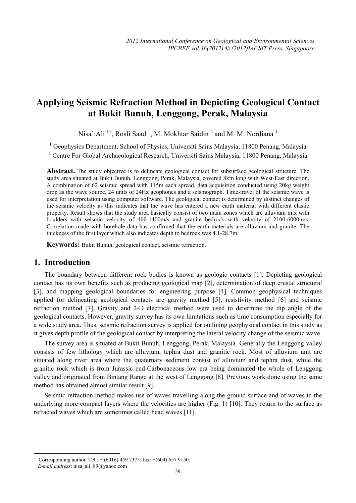# **Applying Seismic Refraction Method in Depicting Geological Contact at Bukit Bunuh, Lenggong, Perak, Malaysia**

Nisa' Ali<sup>1+</sup>, Rosli Saad<sup>1</sup>, M. Mokhtar Saidin<sup>2</sup> and M. M. Nordiana<sup>1</sup>

<sup>1</sup> Geophysics Department, School of Physics, Universiti Sains Malaysia, 11800 Penang, Malaysia

<sup>2</sup> Centre For Global Archaeological Research, Universiti Sains Malaysia, 11800 Penang, Malaysia

**Abstract.** The study objective is to delineate geological contact for subsurface geological structure. The study area situated at Bukit Bunuh, Lenggong, Perak, Malaysia, covered 8km long with West-East direction. A combination of 62 seismic spread with 115m each spread, data acquisition conducted using 20kg weight drop as the wave source, 24 units of 24Hz geophones and a seismograph. Time-travel of the seismic wave is used for interpretation using computer software. The geological contact is determined by distinct changes of the seismic velocity as this indicates that the wave has entered a new earth material with different elastic property. Result shows that the study area basically consist of two main zones which are alluvium mix with boulders with seismic velocity of 400-1400m/s and granite bedrock with velocity of 2100-6000m/s. Correlation made with borehole data has confirmed that the earth materials are alluvium and granite. The thickness of the first layer which also indicates depth to bedrock was 4.1-28.7m.

**Keywords:** Bukit Bunuh, geological contact, seismic refraction.

### **1. Introduction**

 $\overline{\phantom{a}}$ 

The boundary between different rock bodies is known as geologic contacts [1]. Depicting geological contact has its own benefits such as producing geological map [2], determination of deep crustal structural [3], and mapping geological boundaries for engineering purpose [4]. Common geophysical techniques applied for delineating geological contacts are gravity method [5], resistivity method [6] and seismic refraction method [7]. Gravity and 2-D electrical method were used to determine the dip angle of the geological contacts. However, gravity survey has its own limitations such as time consumption especially for a wide study area. Thus, seismic refraction survey is applied for outlining geophysical contact in this study as it gives depth profile of the geological contact by interpreting the lateral velocity change of the seismic wave.

The survey area is situated at Bukit Bunuh, Lenggong, Perak, Malaysia. Generally the Lenggong valley consists of few lithology which are alluvium, tephra dust and granitic rock. Most of alluvium unit are situated along river area where the quaternary sediment consist of alluvium and tephra dust, while the granitic rock which is from Jurassic end-Carbonaceous low era being dominated the whole of Lenggong valley and originated from Bintang Range at the west of Lenggong [8]. Previous work done using the same method has obtained almost similar result [9].

Seismic refraction method makes use of waves travelling along the ground surface and of waves in the underlying more compact layers where the velocities are higher (Fig. 1) [10]. They return to the surface as refracted waves which are sometimes called head waves [11].

59

<sup>+</sup> Corresponding author. Tel.:  $+ (6016)$  459 7375; fax:  $+ (604)$  657 9150. *E-mail address*: nisa\_ali\_89@yahoo.com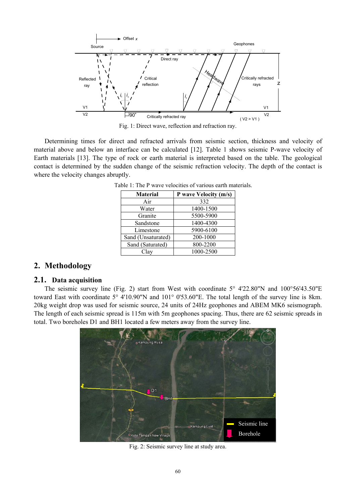

Fig. 1: Direct wave, reflection and refraction ray.

Determining times for direct and refracted arrivals from seismic section, thickness and velocity of material above and below an interface can be calculated [12]. Table 1 shows seismic P-wave velocity of Earth materials [13]. The type of rock or earth material is interpreted based on the table. The geological contact is determined by the sudden change of the seismic refraction velocity. The depth of the contact is where the velocity changes abruptly.

| <b>Material</b>    | P wave Velocity (m/s) |
|--------------------|-----------------------|
| Air                | 332                   |
| Water              | 1400-1500             |
| Granite            | 5500-5900             |
| Sandstone          | 1400-4300             |
| Limestone          | 5900-6100             |
| Sand (Unsaturated) | 200-1000              |
| Sand (Saturated)   | 800-2200              |
| Clav               | 1000-2500             |

Table 1: The P wave velocities of various earth materials.

## **2. Methodology**

#### **2.1. Data acquisition**

The seismic survey line (Fig. 2) start from West with coordinate 5° 4'22.80"N and 100°56'43.50"E toward East with coordinate 5° 4'10.90"N and 101° 0'53.60"E. The total length of the survey line is 8km. 20kg weight drop was used for seismic source, 24 units of 24Hz geophones and ABEM MK6 seismograph. The length of each seismic spread is 115m with 5m geophones spacing. Thus, there are 62 seismic spreads in total. Two boreholes D1 and BH1 located a few meters away from the survey line.



Fig. 2: Seismic survey line at study area.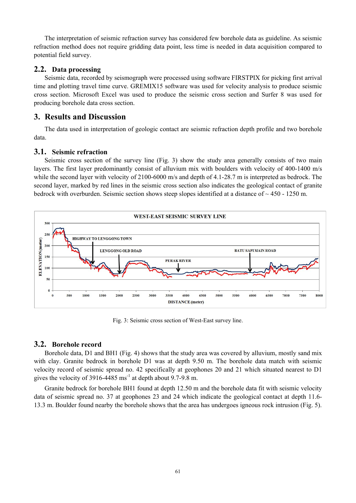The interpretation of seismic refraction survey has considered few borehole data as guideline. As seismic refraction method does not require gridding data point, less time is needed in data acquisition compared to potential field survey.

#### **2.2. Data processing**

Seismic data, recorded by seismograph were processed using software FIRSTPIX for picking first arrival time and plotting travel time curve. GREMIX15 software was used for velocity analysis to produce seismic cross section. Microsoft Excel was used to produce the seismic cross section and Surfer 8 was used for producing borehole data cross section.

### **3. Results and Discussion**

The data used in interpretation of geologic contact are seismic refraction depth profile and two borehole data.

#### **3.1. Seismic refraction**

Seismic cross section of the survey line (Fig. 3) show the study area generally consists of two main layers. The first layer predominantly consist of alluvium mix with boulders with velocity of 400-1400 m/s while the second layer with velocity of 2100-6000 m/s and depth of 4.1-28.7 m is interpreted as bedrock. The second layer, marked by red lines in the seismic cross section also indicates the geological contact of granite bedrock with overburden. Seismic section shows steep slopes identified at a distance of  $\sim$  450 - 1250 m.



Fig. 3: Seismic cross section of West-East survey line.

#### **3.2. Borehole record**

Borehole data, D1 and BH1 (Fig. 4) shows that the study area was covered by alluvium, mostly sand mix with clay. Granite bedrock in borehole D1 was at depth 9.50 m. The borehole data match with seismic velocity record of seismic spread no. 42 specifically at geophones 20 and 21 which situated nearest to D1 gives the velocity of  $3916-4485$  ms<sup>-1</sup> at depth about 9.7-9.8 m.

Granite bedrock for borehole BH1 found at depth 12.50 m and the borehole data fit with seismic velocity data of seismic spread no. 37 at geophones 23 and 24 which indicate the geological contact at depth 11.6- 13.3 m. Boulder found nearby the borehole shows that the area has undergoes igneous rock intrusion (Fig. 5).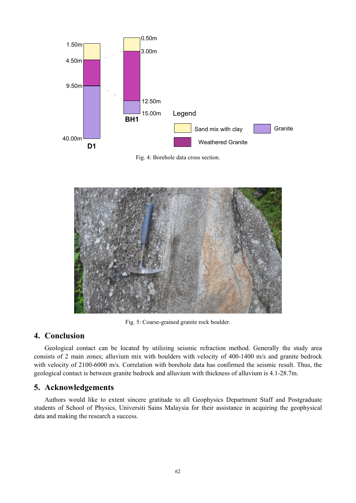

Fig. 4: Borehole data cross section.



Fig. 5: Coarse-grained granite rock boulder.

## **4. Conclusion**

Geological contact can be located by utilizing seismic refraction method. Generally the study area consists of 2 main zones; alluvium mix with boulders with velocity of 400-1400 m/s and granite bedrock with velocity of 2100-6000 m/s. Correlation with borehole data has confirmed the seismic result. Thus, the geological contact is between granite bedrock and alluvium with thickness of alluvium is 4.1-28.7m.

# **5. Acknowledgements**

Authors would like to extent sincere gratitude to all Geophysics Department Staff and Postgraduate students of School of Physics, Universiti Sains Malaysia for their assistance in acquiring the geophysical data and making the research a success.